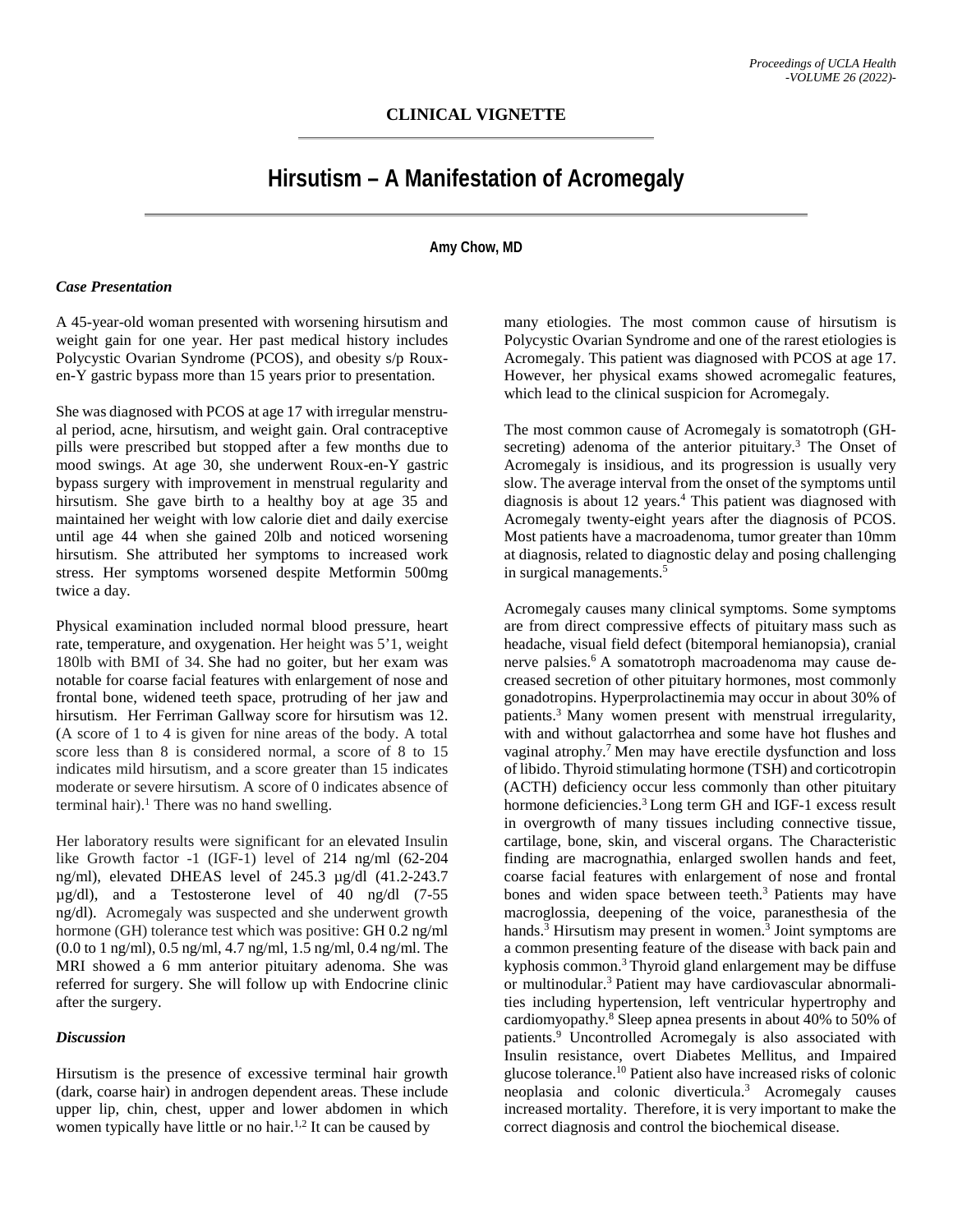# **Hirsutism – A Manifestation of Acromegaly**

# **Amy Chow, MD**

### *Case Presentation*

A 45-year-old woman presented with worsening hirsutism and weight gain for one year. Her past medical history includes Polycystic Ovarian Syndrome (PCOS), and obesity s/p Rouxen-Y gastric bypass more than 15 years prior to presentation.

She was diagnosed with PCOS at age 17 with irregular menstrual period, acne, hirsutism, and weight gain. Oral contraceptive pills were prescribed but stopped after a few months due to mood swings. At age 30, she underwent Roux-en-Y gastric bypass surgery with improvement in menstrual regularity and hirsutism. She gave birth to a healthy boy at age 35 and maintained her weight with low calorie diet and daily exercise until age 44 when she gained 20lb and noticed worsening hirsutism. She attributed her symptoms to increased work stress. Her symptoms worsened despite Metformin 500mg twice a day.

Physical examination included normal blood pressure, heart rate, temperature, and oxygenation. Her height was 5'1, weight 180lb with BMI of 34. She had no goiter, but her exam was notable for coarse facial features with enlargement of nose and frontal bone, widened teeth space, protruding of her jaw and hirsutism. Her Ferriman Gallway score for hirsutism was 12. (A score of 1 to 4 is given for nine areas of the body. A total score less than 8 is considered normal, a score of 8 to 15 indicates mild hirsutism, and a score greater than 15 indicates moderate or severe hirsutism. A score of 0 indicates absence of terminal hair).<sup>1</sup> There was no hand swelling.

Her laboratory results were significant for an elevated Insulin like Growth factor -1 (IGF-1) level of 214 ng/ml (62-204 ng/ml), elevated DHEAS level of 245.3 µg/dl (41.2-243.7 µg/dl), and a Testosterone level of 40 ng/dl (7-55 ng/dl). Acromegaly was suspected and she underwent growth hormone (GH) tolerance test which was positive: GH 0.2 ng/ml (0.0 to 1 ng/ml), 0.5 ng/ml, 4.7 ng/ml, 1.5 ng/ml, 0.4 ng/ml. The MRI showed a 6 mm anterior pituitary adenoma. She was referred for surgery. She will follow up with Endocrine clinic after the surgery.

#### *Discussion*

Hirsutism is the presence of excessive terminal hair growth (dark, coarse hair) in androgen dependent areas. These include upper lip, chin, chest, upper and lower abdomen in which women typically have little or no hair.<sup>1,2</sup> It can be caused by

many etiologies. The most common cause of hirsutism is Polycystic Ovarian Syndrome and one of the rarest etiologies is Acromegaly. This patient was diagnosed with PCOS at age 17. However, her physical exams showed acromegalic features, which lead to the clinical suspicion for Acromegaly.

The most common cause of Acromegaly is somatotroph (GHsecreting) adenoma of the anterior pituitary.<sup>3</sup> The Onset of Acromegaly is insidious, and its progression is usually very slow. The average interval from the onset of the symptoms until diagnosis is about 12 years. <sup>4</sup> This patient was diagnosed with Acromegaly twenty-eight years after the diagnosis of PCOS. Most patients have a macroadenoma, tumor greater than 10mm at diagnosis, related to diagnostic delay and posing challenging in surgical managements.<sup>5</sup>

Acromegaly causes many clinical symptoms. Some symptoms are from direct compressive effects of pituitary mass such as headache, visual field defect (bitemporal hemianopsia), cranial nerve palsies. <sup>6</sup> A somatotroph macroadenoma may cause decreased secretion of other pituitary hormones, most commonly gonadotropins. Hyperprolactinemia may occur in about 30% of patients.3 Many women present with menstrual irregularity, with and without galactorrhea and some have hot flushes and vaginal atrophy. <sup>7</sup> Men may have erectile dysfunction and loss of libido. Thyroid stimulating hormone (TSH) and corticotropin (ACTH) deficiency occur less commonly than other pituitary hormone deficiencies.<sup>3</sup> Long term GH and IGF-1 excess result in overgrowth of many tissues including connective tissue, cartilage, bone, skin, and visceral organs. The Characteristic finding are macrognathia, enlarged swollen hands and feet, coarse facial features with enlargement of nose and frontal bones and widen space between teeth.<sup>3</sup> Patients may have macroglossia, deepening of the voice, paranesthesia of the hands.<sup>3</sup> Hirsutism may present in women.<sup>3</sup> Joint symptoms are a common presenting feature of the disease with back pain and kyphosis common.<sup>3</sup> Thyroid gland enlargement may be diffuse or multinodular.<sup>3</sup> Patient may have cardiovascular abnormalities including hypertension, left ventricular hypertrophy and cardiomyopathy. <sup>8</sup> Sleep apnea presents in about 40% to 50% of patients. <sup>9</sup> Uncontrolled Acromegaly is also associated with Insulin resistance, overt Diabetes Mellitus, and Impaired glucose tolerance.10 Patient also have increased risks of colonic neoplasia and colonic diverticula. <sup>3</sup> Acromegaly causes increased mortality. Therefore, it is very important to make the correct diagnosis and control the biochemical disease.